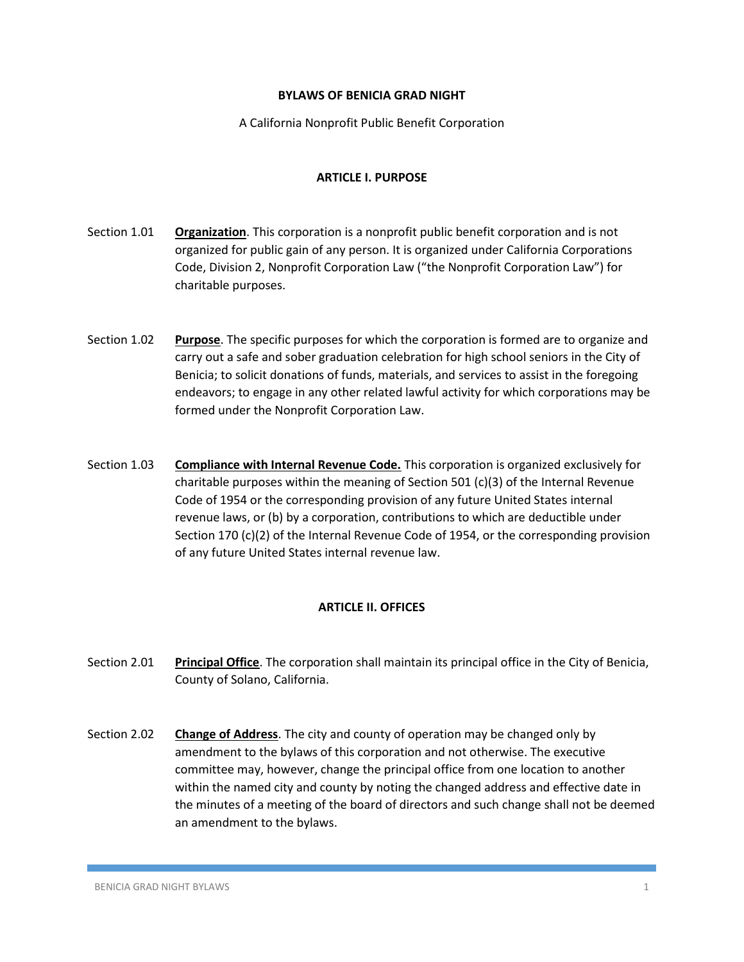### **BYLAWS OF BENICIA GRAD NIGHT**

A California Nonprofit Public Benefit Corporation

## **ARTICLE I. PURPOSE**

- Section 1.01 **Organization**. This corporation is a nonprofit public benefit corporation and is not organized for public gain of any person. It is organized under California Corporations Code, Division 2, Nonprofit Corporation Law ("the Nonprofit Corporation Law") for charitable purposes.
- Section 1.02 **Purpose**. The specific purposes for which the corporation is formed are to organize and carry out a safe and sober graduation celebration for high school seniors in the City of Benicia; to solicit donations of funds, materials, and services to assist in the foregoing endeavors; to engage in any other related lawful activity for which corporations may be formed under the Nonprofit Corporation Law.
- Section 1.03 **Compliance with Internal Revenue Code.** This corporation is organized exclusively for charitable purposes within the meaning of Section 501 (c)(3) of the Internal Revenue Code of 1954 or the corresponding provision of any future United States internal revenue laws, or (b) by a corporation, contributions to which are deductible under Section 170 (c)(2) of the Internal Revenue Code of 1954, or the corresponding provision of any future United States internal revenue law.

# **ARTICLE II. OFFICES**

- Section 2.01 **Principal Office**. The corporation shall maintain its principal office in the City of Benicia, County of Solano, California.
- Section 2.02 **Change of Address**. The city and county of operation may be changed only by amendment to the bylaws of this corporation and not otherwise. The executive committee may, however, change the principal office from one location to another within the named city and county by noting the changed address and effective date in the minutes of a meeting of the board of directors and such change shall not be deemed an amendment to the bylaws.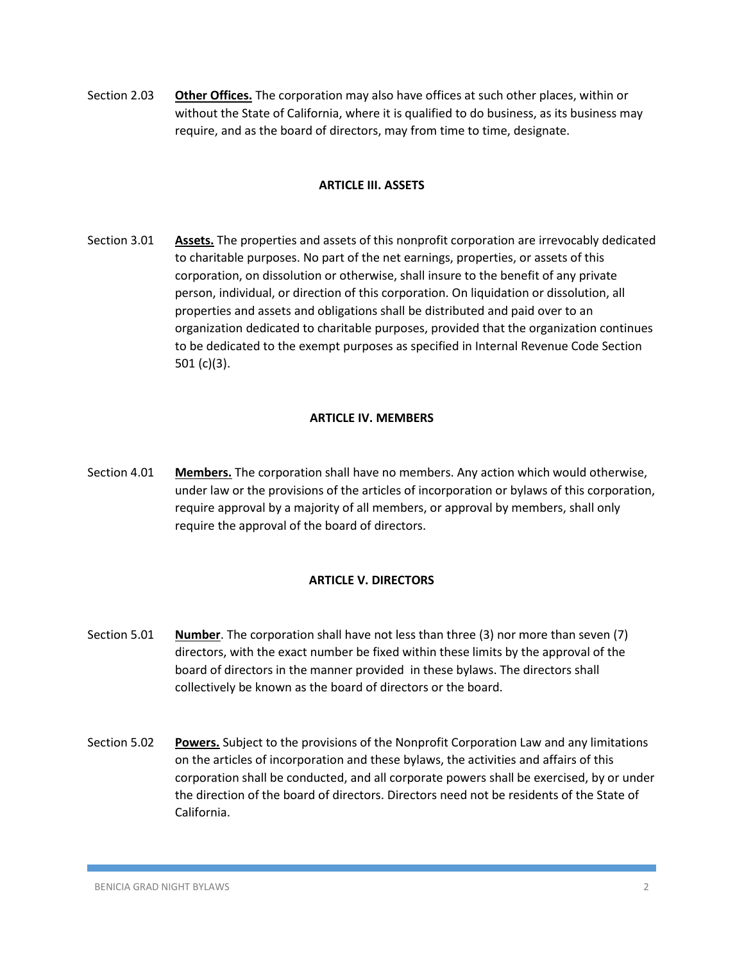Section 2.03 **Other Offices.** The corporation may also have offices at such other places, within or without the State of California, where it is qualified to do business, as its business may require, and as the board of directors, may from time to time, designate.

#### **ARTICLE III. ASSETS**

Section 3.01 **Assets.** The properties and assets of this nonprofit corporation are irrevocably dedicated to charitable purposes. No part of the net earnings, properties, or assets of this corporation, on dissolution or otherwise, shall insure to the benefit of any private person, individual, or direction of this corporation. On liquidation or dissolution, all properties and assets and obligations shall be distributed and paid over to an organization dedicated to charitable purposes, provided that the organization continues to be dedicated to the exempt purposes as specified in Internal Revenue Code Section 501 (c)(3).

### **ARTICLE IV. MEMBERS**

Section 4.01 **Members.** The corporation shall have no members. Any action which would otherwise, under law or the provisions of the articles of incorporation or bylaws of this corporation, require approval by a majority of all members, or approval by members, shall only require the approval of the board of directors.

# **ARTICLE V. DIRECTORS**

- Section 5.01 **Number**. The corporation shall have not less than three (3) nor more than seven (7) directors, with the exact number be fixed within these limits by the approval of the board of directors in the manner provided in these bylaws. The directors shall collectively be known as the board of directors or the board.
- Section 5.02 **Powers.** Subject to the provisions of the Nonprofit Corporation Law and any limitations on the articles of incorporation and these bylaws, the activities and affairs of this corporation shall be conducted, and all corporate powers shall be exercised, by or under the direction of the board of directors. Directors need not be residents of the State of California.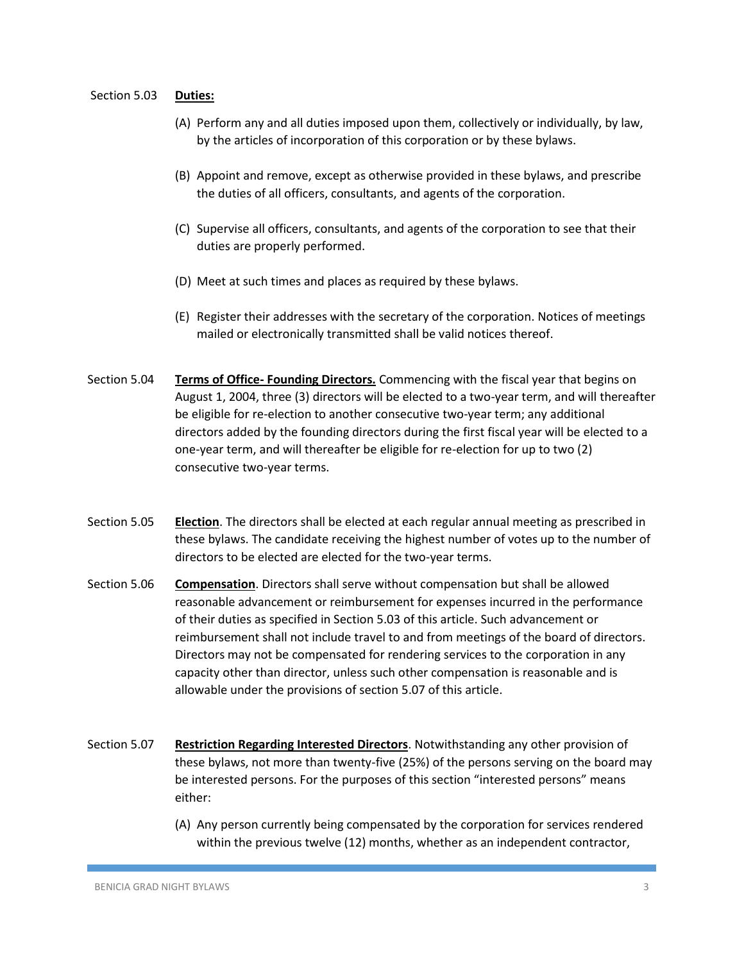#### Section 5.03 **Duties:**

- (A) Perform any and all duties imposed upon them, collectively or individually, by law, by the articles of incorporation of this corporation or by these bylaws.
- (B) Appoint and remove, except as otherwise provided in these bylaws, and prescribe the duties of all officers, consultants, and agents of the corporation.
- (C) Supervise all officers, consultants, and agents of the corporation to see that their duties are properly performed.
- (D) Meet at such times and places as required by these bylaws.
- (E) Register their addresses with the secretary of the corporation. Notices of meetings mailed or electronically transmitted shall be valid notices thereof.
- Section 5.04 **Terms of Office- Founding Directors.** Commencing with the fiscal year that begins on August 1, 2004, three (3) directors will be elected to a two-year term, and will thereafter be eligible for re-election to another consecutive two-year term; any additional directors added by the founding directors during the first fiscal year will be elected to a one-year term, and will thereafter be eligible for re-election for up to two (2) consecutive two-year terms.
- Section 5.05 **Election**. The directors shall be elected at each regular annual meeting as prescribed in these bylaws. The candidate receiving the highest number of votes up to the number of directors to be elected are elected for the two-year terms.
- Section 5.06 **Compensation**. Directors shall serve without compensation but shall be allowed reasonable advancement or reimbursement for expenses incurred in the performance of their duties as specified in Section 5.03 of this article. Such advancement or reimbursement shall not include travel to and from meetings of the board of directors. Directors may not be compensated for rendering services to the corporation in any capacity other than director, unless such other compensation is reasonable and is allowable under the provisions of section 5.07 of this article.
- Section 5.07 **Restriction Regarding Interested Directors**. Notwithstanding any other provision of these bylaws, not more than twenty-five (25%) of the persons serving on the board may be interested persons. For the purposes of this section "interested persons" means either:
	- (A) Any person currently being compensated by the corporation for services rendered within the previous twelve (12) months, whether as an independent contractor,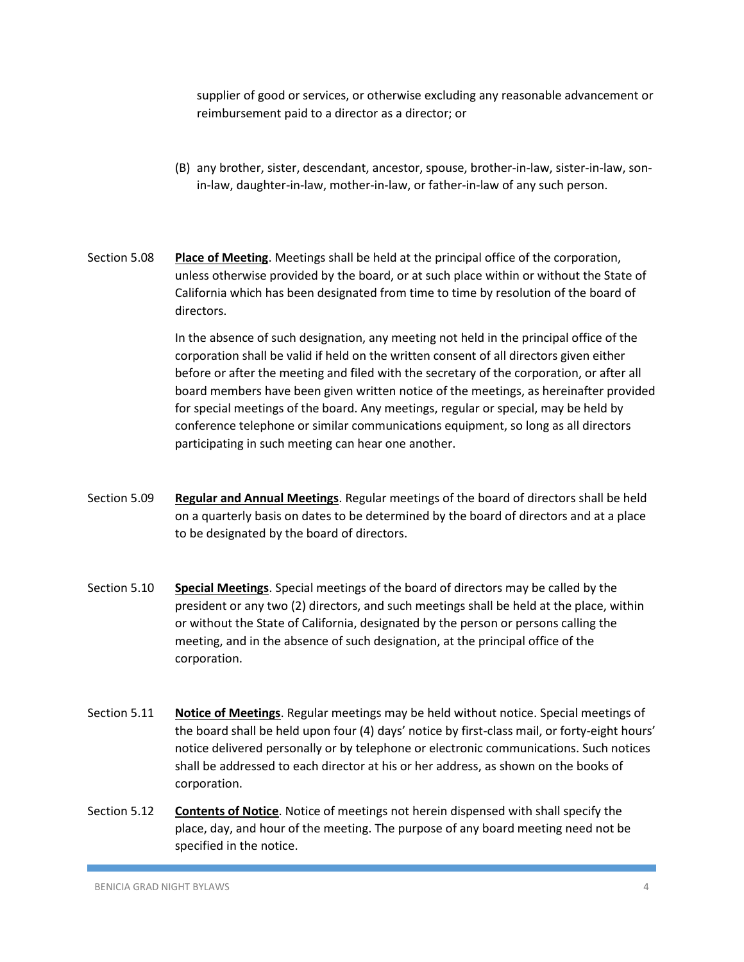supplier of good or services, or otherwise excluding any reasonable advancement or reimbursement paid to a director as a director; or

- (B) any brother, sister, descendant, ancestor, spouse, brother-in-law, sister-in-law, sonin-law, daughter-in-law, mother-in-law, or father-in-law of any such person.
- Section 5.08 **Place of Meeting**. Meetings shall be held at the principal office of the corporation, unless otherwise provided by the board, or at such place within or without the State of California which has been designated from time to time by resolution of the board of directors.

In the absence of such designation, any meeting not held in the principal office of the corporation shall be valid if held on the written consent of all directors given either before or after the meeting and filed with the secretary of the corporation, or after all board members have been given written notice of the meetings, as hereinafter provided for special meetings of the board. Any meetings, regular or special, may be held by conference telephone or similar communications equipment, so long as all directors participating in such meeting can hear one another.

- Section 5.09 **Regular and Annual Meetings**. Regular meetings of the board of directors shall be held on a quarterly basis on dates to be determined by the board of directors and at a place to be designated by the board of directors.
- Section 5.10 **Special Meetings**. Special meetings of the board of directors may be called by the president or any two (2) directors, and such meetings shall be held at the place, within or without the State of California, designated by the person or persons calling the meeting, and in the absence of such designation, at the principal office of the corporation.
- Section 5.11 **Notice of Meetings**. Regular meetings may be held without notice. Special meetings of the board shall be held upon four (4) days' notice by first-class mail, or forty-eight hours' notice delivered personally or by telephone or electronic communications. Such notices shall be addressed to each director at his or her address, as shown on the books of corporation.
- Section 5.12 **Contents of Notice**. Notice of meetings not herein dispensed with shall specify the place, day, and hour of the meeting. The purpose of any board meeting need not be specified in the notice.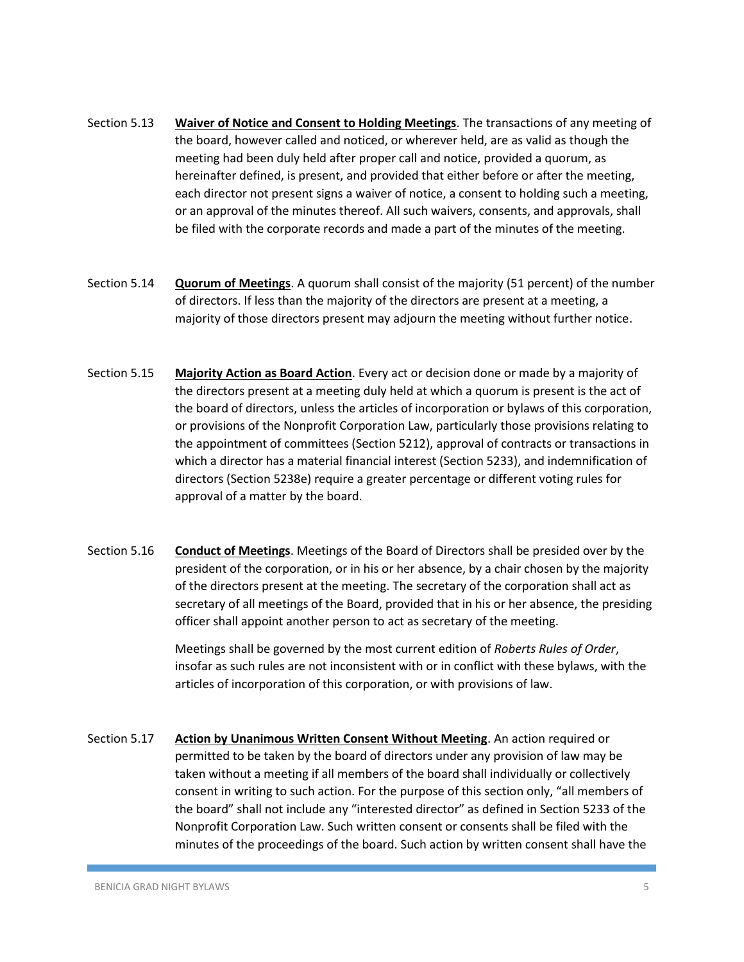- Section 5.13 **Waiver of Notice and Consent to Holding Meetings**. The transactions of any meeting of the board, however called and noticed, or wherever held, are as valid as though the meeting had been duly held after proper call and notice, provided a quorum, as hereinafter defined, is present, and provided that either before or after the meeting, each director not present signs a waiver of notice, a consent to holding such a meeting, or an approval of the minutes thereof. All such waivers, consents, and approvals, shall be filed with the corporate records and made a part of the minutes of the meeting.
- Section 5.14 **Quorum of Meetings**. A quorum shall consist of the majority (51 percent) of the number of directors. If less than the majority of the directors are present at a meeting, a majority of those directors present may adjourn the meeting without further notice.
- Section 5.15 **Majority Action as Board Action**. Every act or decision done or made by a majority of the directors present at a meeting duly held at which a quorum is present is the act of the board of directors, unless the articles of incorporation or bylaws of this corporation, or provisions of the Nonprofit Corporation Law, particularly those provisions relating to the appointment of committees (Section 5212), approval of contracts or transactions in which a director has a material financial interest (Section 5233), and indemnification of directors (Section 5238e) require a greater percentage or different voting rules for approval of a matter by the board.
- Section 5.16 **Conduct of Meetings**. Meetings of the Board of Directors shall be presided over by the president of the corporation, or in his or her absence, by a chair chosen by the majority of the directors present at the meeting. The secretary of the corporation shall act as secretary of all meetings of the Board, provided that in his or her absence, the presiding officer shall appoint another person to act as secretary of the meeting.

Meetings shall be governed by the most current edition of *Roberts Rules of Order*, insofar as such rules are not inconsistent with or in conflict with these bylaws, with the articles of incorporation of this corporation, or with provisions of law.

Section 5.17 **Action by Unanimous Written Consent Without Meeting**. An action required or permitted to be taken by the board of directors under any provision of law may be taken without a meeting if all members of the board shall individually or collectively consent in writing to such action. For the purpose of this section only, "all members of the board" shall not include any "interested director" as defined in Section 5233 of the Nonprofit Corporation Law. Such written consent or consents shall be filed with the minutes of the proceedings of the board. Such action by written consent shall have the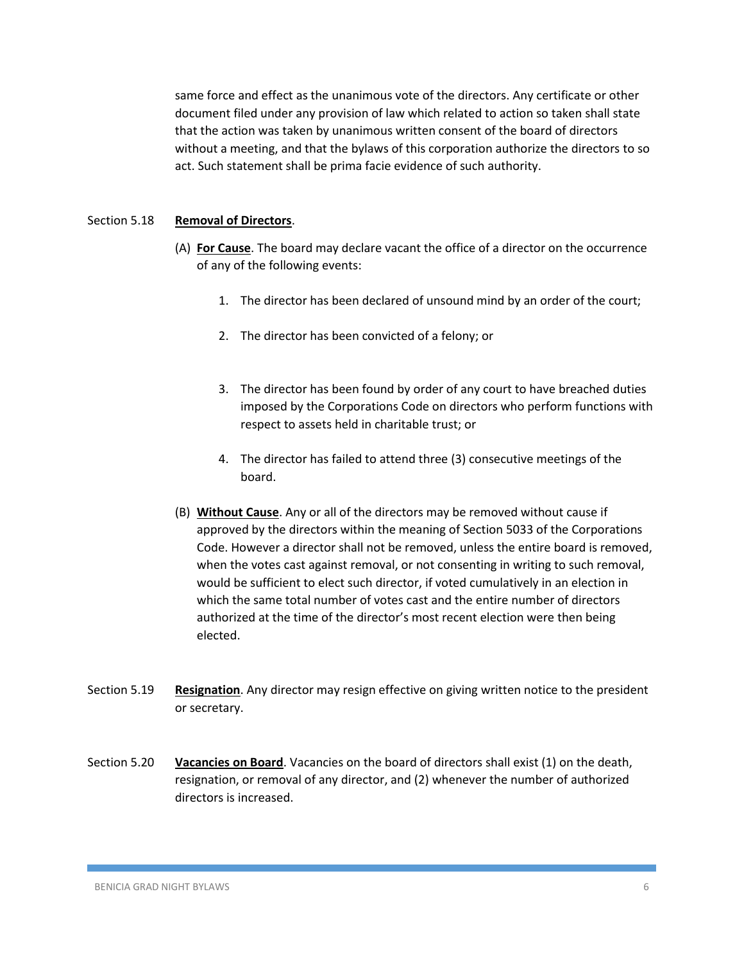same force and effect as the unanimous vote of the directors. Any certificate or other document filed under any provision of law which related to action so taken shall state that the action was taken by unanimous written consent of the board of directors without a meeting, and that the bylaws of this corporation authorize the directors to so act. Such statement shall be prima facie evidence of such authority.

#### Section 5.18 **Removal of Directors**.

- (A) **For Cause**. The board may declare vacant the office of a director on the occurrence of any of the following events:
	- 1. The director has been declared of unsound mind by an order of the court;
	- 2. The director has been convicted of a felony; or
	- 3. The director has been found by order of any court to have breached duties imposed by the Corporations Code on directors who perform functions with respect to assets held in charitable trust; or
	- 4. The director has failed to attend three (3) consecutive meetings of the board.
- (B) **Without Cause**. Any or all of the directors may be removed without cause if approved by the directors within the meaning of Section 5033 of the Corporations Code. However a director shall not be removed, unless the entire board is removed, when the votes cast against removal, or not consenting in writing to such removal, would be sufficient to elect such director, if voted cumulatively in an election in which the same total number of votes cast and the entire number of directors authorized at the time of the director's most recent election were then being elected.
- Section 5.19 **Resignation**. Any director may resign effective on giving written notice to the president or secretary.
- Section 5.20 **Vacancies on Board**. Vacancies on the board of directors shall exist (1) on the death, resignation, or removal of any director, and (2) whenever the number of authorized directors is increased.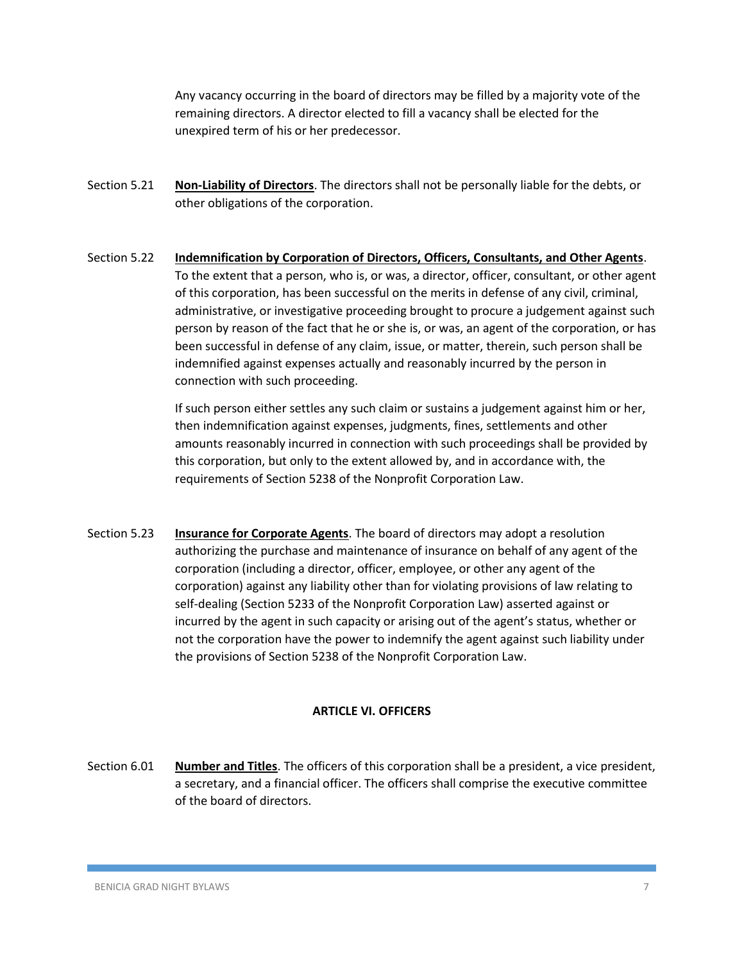Any vacancy occurring in the board of directors may be filled by a majority vote of the remaining directors. A director elected to fill a vacancy shall be elected for the unexpired term of his or her predecessor.

- Section 5.21 **Non-Liability of Directors**. The directors shall not be personally liable for the debts, or other obligations of the corporation.
- Section 5.22 **Indemnification by Corporation of Directors, Officers, Consultants, and Other Agents**. To the extent that a person, who is, or was, a director, officer, consultant, or other agent of this corporation, has been successful on the merits in defense of any civil, criminal, administrative, or investigative proceeding brought to procure a judgement against such person by reason of the fact that he or she is, or was, an agent of the corporation, or has been successful in defense of any claim, issue, or matter, therein, such person shall be indemnified against expenses actually and reasonably incurred by the person in connection with such proceeding.

If such person either settles any such claim or sustains a judgement against him or her, then indemnification against expenses, judgments, fines, settlements and other amounts reasonably incurred in connection with such proceedings shall be provided by this corporation, but only to the extent allowed by, and in accordance with, the requirements of Section 5238 of the Nonprofit Corporation Law.

Section 5.23 **Insurance for Corporate Agents**. The board of directors may adopt a resolution authorizing the purchase and maintenance of insurance on behalf of any agent of the corporation (including a director, officer, employee, or other any agent of the corporation) against any liability other than for violating provisions of law relating to self-dealing (Section 5233 of the Nonprofit Corporation Law) asserted against or incurred by the agent in such capacity or arising out of the agent's status, whether or not the corporation have the power to indemnify the agent against such liability under the provisions of Section 5238 of the Nonprofit Corporation Law.

#### **ARTICLE VI. OFFICERS**

Section 6.01 **Number and Titles**. The officers of this corporation shall be a president, a vice president, a secretary, and a financial officer. The officers shall comprise the executive committee of the board of directors.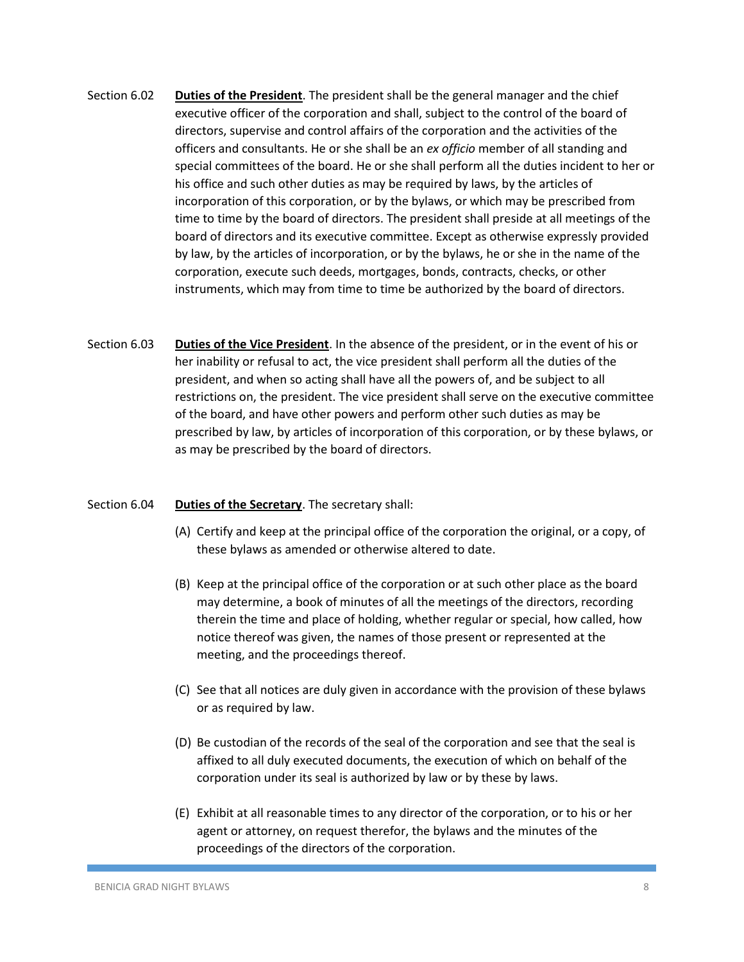- Section 6.02 **Duties of the President**. The president shall be the general manager and the chief executive officer of the corporation and shall, subject to the control of the board of directors, supervise and control affairs of the corporation and the activities of the officers and consultants. He or she shall be an *ex officio* member of all standing and special committees of the board. He or she shall perform all the duties incident to her or his office and such other duties as may be required by laws, by the articles of incorporation of this corporation, or by the bylaws, or which may be prescribed from time to time by the board of directors. The president shall preside at all meetings of the board of directors and its executive committee. Except as otherwise expressly provided by law, by the articles of incorporation, or by the bylaws, he or she in the name of the corporation, execute such deeds, mortgages, bonds, contracts, checks, or other instruments, which may from time to time be authorized by the board of directors.
- Section 6.03 **Duties of the Vice President**. In the absence of the president, or in the event of his or her inability or refusal to act, the vice president shall perform all the duties of the president, and when so acting shall have all the powers of, and be subject to all restrictions on, the president. The vice president shall serve on the executive committee of the board, and have other powers and perform other such duties as may be prescribed by law, by articles of incorporation of this corporation, or by these bylaws, or as may be prescribed by the board of directors.

#### Section 6.04 **Duties of the Secretary**. The secretary shall:

- (A) Certify and keep at the principal office of the corporation the original, or a copy, of these bylaws as amended or otherwise altered to date.
- (B) Keep at the principal office of the corporation or at such other place as the board may determine, a book of minutes of all the meetings of the directors, recording therein the time and place of holding, whether regular or special, how called, how notice thereof was given, the names of those present or represented at the meeting, and the proceedings thereof.
- (C) See that all notices are duly given in accordance with the provision of these bylaws or as required by law.
- (D) Be custodian of the records of the seal of the corporation and see that the seal is affixed to all duly executed documents, the execution of which on behalf of the corporation under its seal is authorized by law or by these by laws.
- (E) Exhibit at all reasonable times to any director of the corporation, or to his or her agent or attorney, on request therefor, the bylaws and the minutes of the proceedings of the directors of the corporation.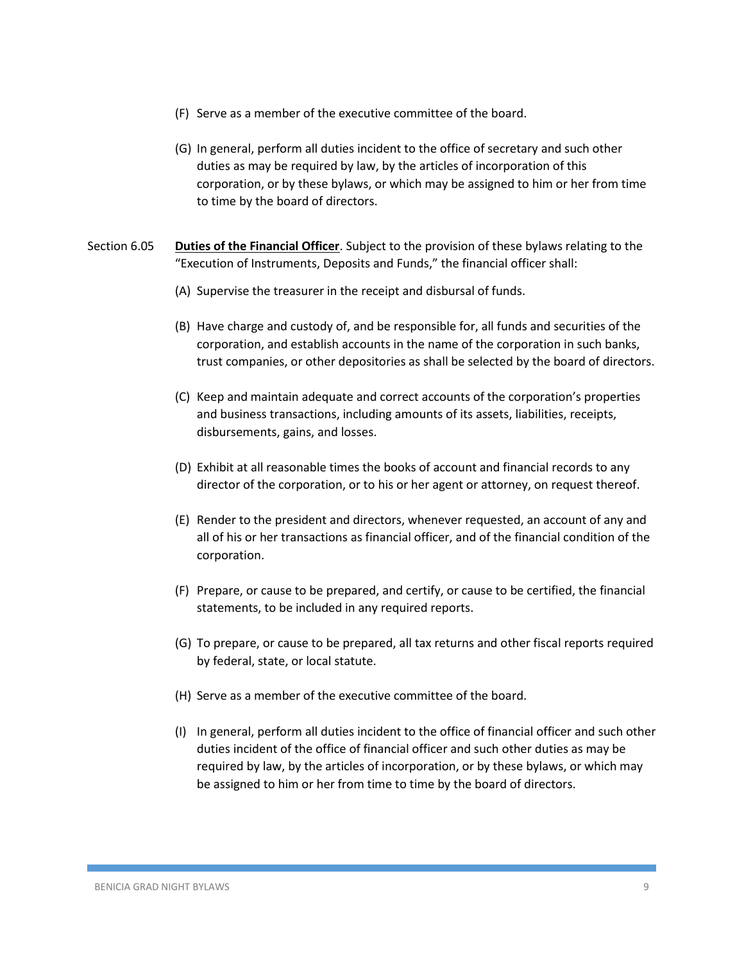- (F) Serve as a member of the executive committee of the board.
- (G) In general, perform all duties incident to the office of secretary and such other duties as may be required by law, by the articles of incorporation of this corporation, or by these bylaws, or which may be assigned to him or her from time to time by the board of directors.
- Section 6.05 **Duties of the Financial Officer**. Subject to the provision of these bylaws relating to the "Execution of Instruments, Deposits and Funds," the financial officer shall:
	- (A) Supervise the treasurer in the receipt and disbursal of funds.
	- (B) Have charge and custody of, and be responsible for, all funds and securities of the corporation, and establish accounts in the name of the corporation in such banks, trust companies, or other depositories as shall be selected by the board of directors.
	- (C) Keep and maintain adequate and correct accounts of the corporation's properties and business transactions, including amounts of its assets, liabilities, receipts, disbursements, gains, and losses.
	- (D) Exhibit at all reasonable times the books of account and financial records to any director of the corporation, or to his or her agent or attorney, on request thereof.
	- (E) Render to the president and directors, whenever requested, an account of any and all of his or her transactions as financial officer, and of the financial condition of the corporation.
	- (F) Prepare, or cause to be prepared, and certify, or cause to be certified, the financial statements, to be included in any required reports.
	- (G) To prepare, or cause to be prepared, all tax returns and other fiscal reports required by federal, state, or local statute.
	- (H) Serve as a member of the executive committee of the board.
	- (I) In general, perform all duties incident to the office of financial officer and such other duties incident of the office of financial officer and such other duties as may be required by law, by the articles of incorporation, or by these bylaws, or which may be assigned to him or her from time to time by the board of directors.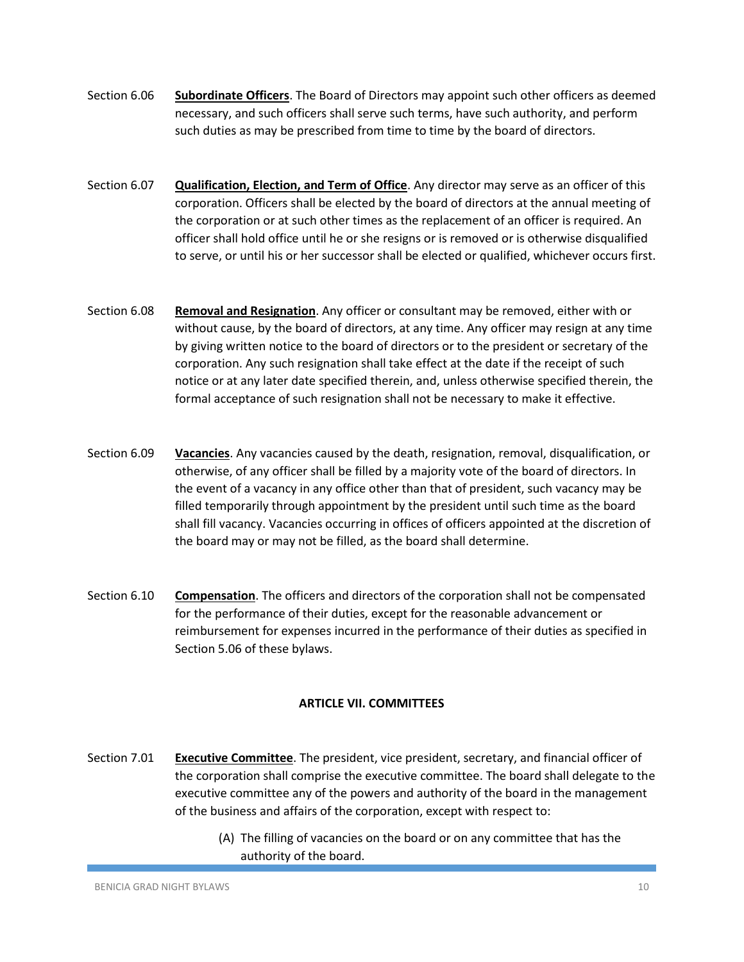- Section 6.06 **Subordinate Officers**. The Board of Directors may appoint such other officers as deemed necessary, and such officers shall serve such terms, have such authority, and perform such duties as may be prescribed from time to time by the board of directors.
- Section 6.07 **Qualification, Election, and Term of Office**. Any director may serve as an officer of this corporation. Officers shall be elected by the board of directors at the annual meeting of the corporation or at such other times as the replacement of an officer is required. An officer shall hold office until he or she resigns or is removed or is otherwise disqualified to serve, or until his or her successor shall be elected or qualified, whichever occurs first.
- Section 6.08 **Removal and Resignation**. Any officer or consultant may be removed, either with or without cause, by the board of directors, at any time. Any officer may resign at any time by giving written notice to the board of directors or to the president or secretary of the corporation. Any such resignation shall take effect at the date if the receipt of such notice or at any later date specified therein, and, unless otherwise specified therein, the formal acceptance of such resignation shall not be necessary to make it effective.
- Section 6.09 **Vacancies**. Any vacancies caused by the death, resignation, removal, disqualification, or otherwise, of any officer shall be filled by a majority vote of the board of directors. In the event of a vacancy in any office other than that of president, such vacancy may be filled temporarily through appointment by the president until such time as the board shall fill vacancy. Vacancies occurring in offices of officers appointed at the discretion of the board may or may not be filled, as the board shall determine.
- Section 6.10 **Compensation**. The officers and directors of the corporation shall not be compensated for the performance of their duties, except for the reasonable advancement or reimbursement for expenses incurred in the performance of their duties as specified in Section 5.06 of these bylaws.

# **ARTICLE VII. COMMITTEES**

- Section 7.01 **Executive Committee**. The president, vice president, secretary, and financial officer of the corporation shall comprise the executive committee. The board shall delegate to the executive committee any of the powers and authority of the board in the management of the business and affairs of the corporation, except with respect to:
	- (A) The filling of vacancies on the board or on any committee that has the authority of the board.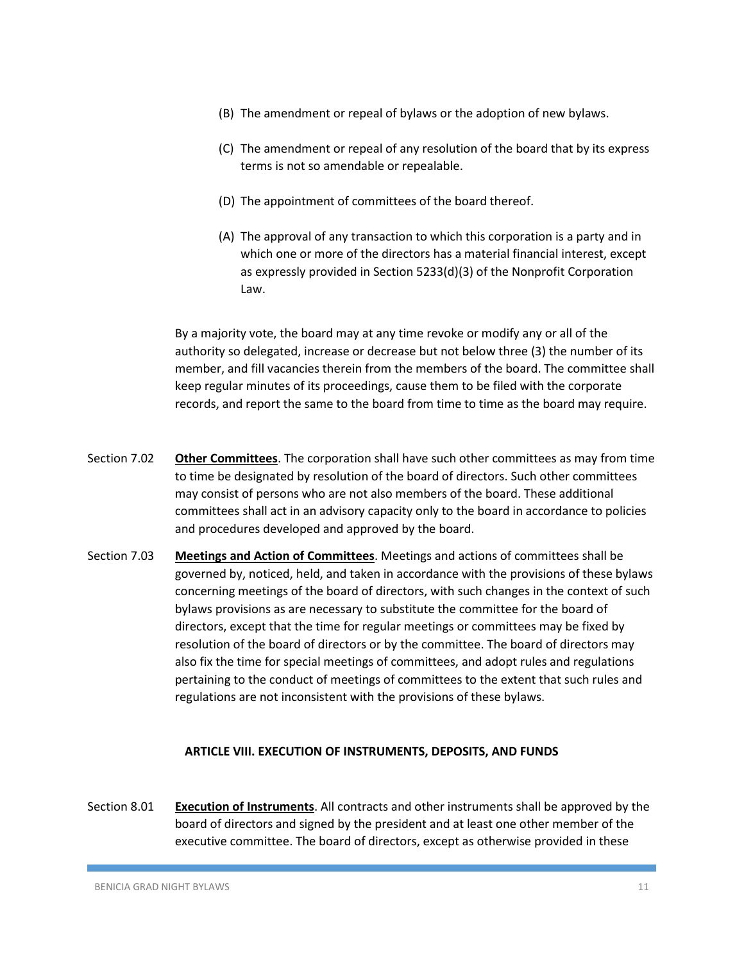- (B) The amendment or repeal of bylaws or the adoption of new bylaws.
- (C) The amendment or repeal of any resolution of the board that by its express terms is not so amendable or repealable.
- (D) The appointment of committees of the board thereof.
- (A) The approval of any transaction to which this corporation is a party and in which one or more of the directors has a material financial interest, except as expressly provided in Section 5233(d)(3) of the Nonprofit Corporation Law.

By a majority vote, the board may at any time revoke or modify any or all of the authority so delegated, increase or decrease but not below three (3) the number of its member, and fill vacancies therein from the members of the board. The committee shall keep regular minutes of its proceedings, cause them to be filed with the corporate records, and report the same to the board from time to time as the board may require.

- Section 7.02 **Other Committees**. The corporation shall have such other committees as may from time to time be designated by resolution of the board of directors. Such other committees may consist of persons who are not also members of the board. These additional committees shall act in an advisory capacity only to the board in accordance to policies and procedures developed and approved by the board.
- Section 7.03 **Meetings and Action of Committees**. Meetings and actions of committees shall be governed by, noticed, held, and taken in accordance with the provisions of these bylaws concerning meetings of the board of directors, with such changes in the context of such bylaws provisions as are necessary to substitute the committee for the board of directors, except that the time for regular meetings or committees may be fixed by resolution of the board of directors or by the committee. The board of directors may also fix the time for special meetings of committees, and adopt rules and regulations pertaining to the conduct of meetings of committees to the extent that such rules and regulations are not inconsistent with the provisions of these bylaws.

#### **ARTICLE VIII. EXECUTION OF INSTRUMENTS, DEPOSITS, AND FUNDS**

Section 8.01 **Execution of Instruments**. All contracts and other instruments shall be approved by the board of directors and signed by the president and at least one other member of the executive committee. The board of directors, except as otherwise provided in these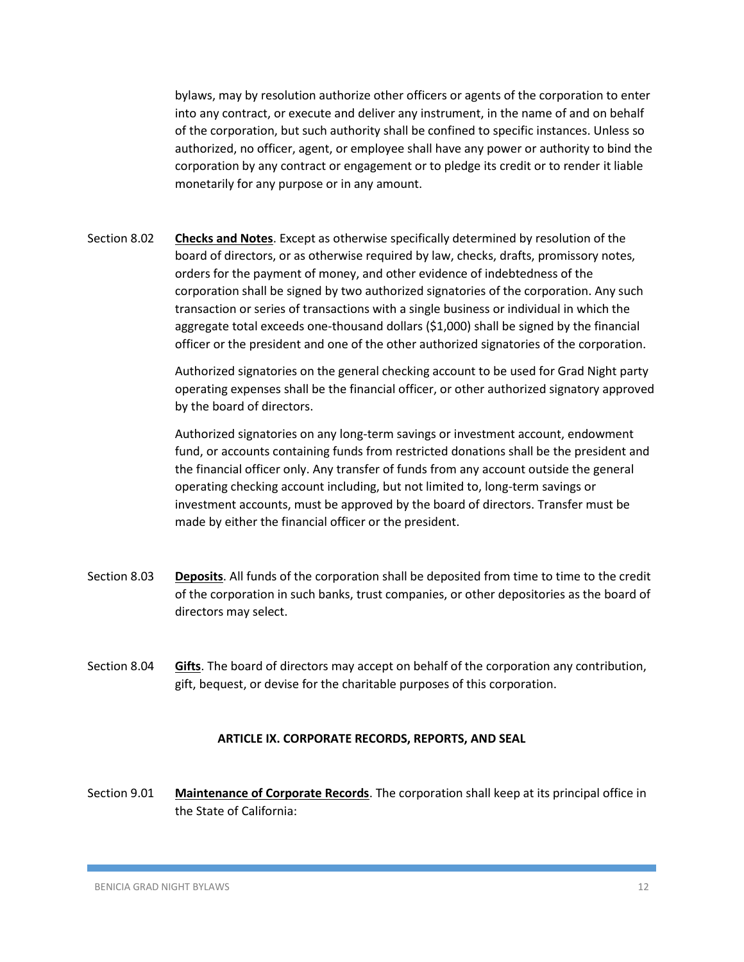bylaws, may by resolution authorize other officers or agents of the corporation to enter into any contract, or execute and deliver any instrument, in the name of and on behalf of the corporation, but such authority shall be confined to specific instances. Unless so authorized, no officer, agent, or employee shall have any power or authority to bind the corporation by any contract or engagement or to pledge its credit or to render it liable monetarily for any purpose or in any amount.

Section 8.02 **Checks and Notes**. Except as otherwise specifically determined by resolution of the board of directors, or as otherwise required by law, checks, drafts, promissory notes, orders for the payment of money, and other evidence of indebtedness of the corporation shall be signed by two authorized signatories of the corporation. Any such transaction or series of transactions with a single business or individual in which the aggregate total exceeds one-thousand dollars (\$1,000) shall be signed by the financial officer or the president and one of the other authorized signatories of the corporation.

> Authorized signatories on the general checking account to be used for Grad Night party operating expenses shall be the financial officer, or other authorized signatory approved by the board of directors.

> Authorized signatories on any long-term savings or investment account, endowment fund, or accounts containing funds from restricted donations shall be the president and the financial officer only. Any transfer of funds from any account outside the general operating checking account including, but not limited to, long-term savings or investment accounts, must be approved by the board of directors. Transfer must be made by either the financial officer or the president.

- Section 8.03 **Deposits**. All funds of the corporation shall be deposited from time to time to the credit of the corporation in such banks, trust companies, or other depositories as the board of directors may select.
- Section 8.04 **Gifts**. The board of directors may accept on behalf of the corporation any contribution, gift, bequest, or devise for the charitable purposes of this corporation.

#### **ARTICLE IX. CORPORATE RECORDS, REPORTS, AND SEAL**

Section 9.01 **Maintenance of Corporate Records**. The corporation shall keep at its principal office in the State of California: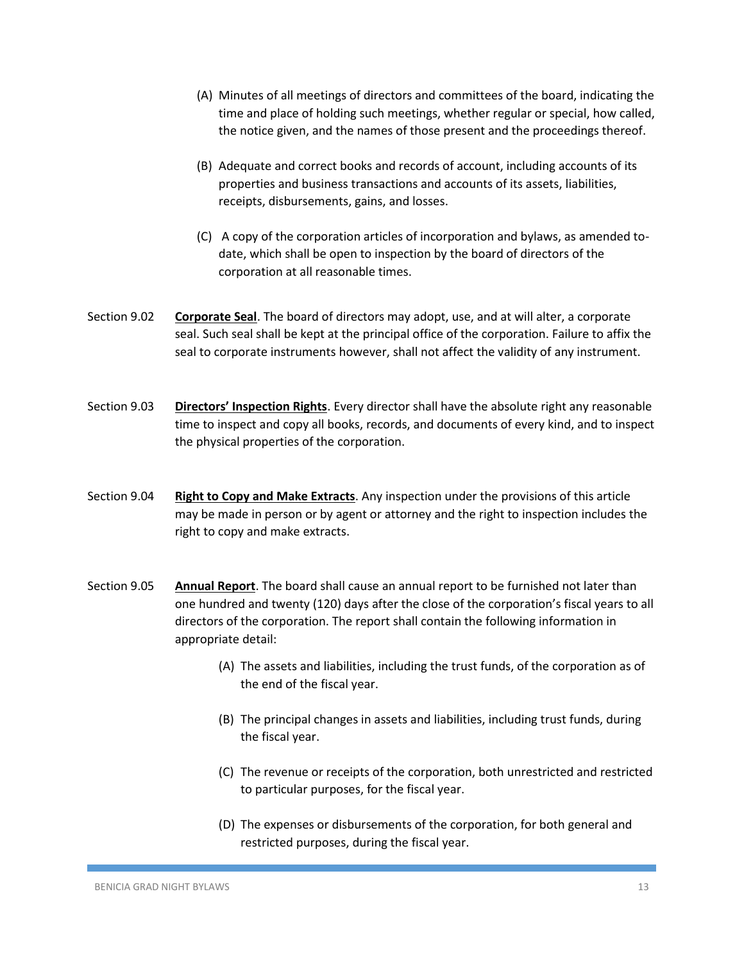- (A) Minutes of all meetings of directors and committees of the board, indicating the time and place of holding such meetings, whether regular or special, how called, the notice given, and the names of those present and the proceedings thereof.
- (B) Adequate and correct books and records of account, including accounts of its properties and business transactions and accounts of its assets, liabilities, receipts, disbursements, gains, and losses.
- (C) A copy of the corporation articles of incorporation and bylaws, as amended todate, which shall be open to inspection by the board of directors of the corporation at all reasonable times.
- Section 9.02 **Corporate Seal**. The board of directors may adopt, use, and at will alter, a corporate seal. Such seal shall be kept at the principal office of the corporation. Failure to affix the seal to corporate instruments however, shall not affect the validity of any instrument.
- Section 9.03 **Directors' Inspection Rights**. Every director shall have the absolute right any reasonable time to inspect and copy all books, records, and documents of every kind, and to inspect the physical properties of the corporation.
- Section 9.04 **Right to Copy and Make Extracts**. Any inspection under the provisions of this article may be made in person or by agent or attorney and the right to inspection includes the right to copy and make extracts.
- Section 9.05 **Annual Report**. The board shall cause an annual report to be furnished not later than one hundred and twenty (120) days after the close of the corporation's fiscal years to all directors of the corporation. The report shall contain the following information in appropriate detail:
	- (A) The assets and liabilities, including the trust funds, of the corporation as of the end of the fiscal year.
	- (B) The principal changes in assets and liabilities, including trust funds, during the fiscal year.
	- (C) The revenue or receipts of the corporation, both unrestricted and restricted to particular purposes, for the fiscal year.
	- (D) The expenses or disbursements of the corporation, for both general and restricted purposes, during the fiscal year.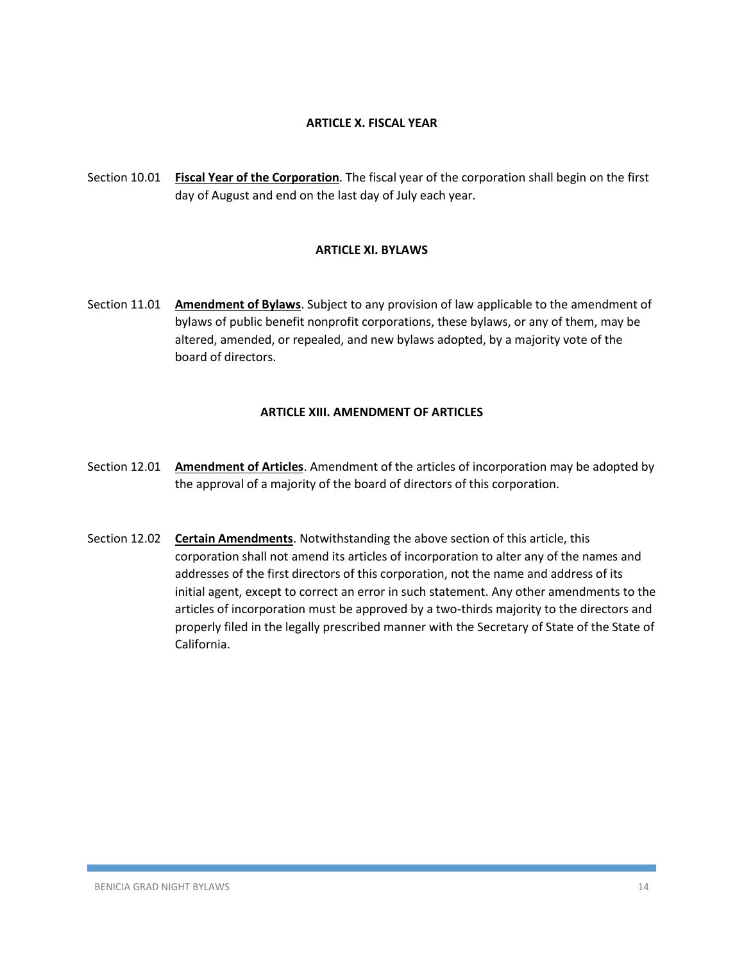## **ARTICLE X. FISCAL YEAR**

Section 10.01 **Fiscal Year of the Corporation**. The fiscal year of the corporation shall begin on the first day of August and end on the last day of July each year.

#### **ARTICLE XI. BYLAWS**

Section 11.01 **Amendment of Bylaws**. Subject to any provision of law applicable to the amendment of bylaws of public benefit nonprofit corporations, these bylaws, or any of them, may be altered, amended, or repealed, and new bylaws adopted, by a majority vote of the board of directors.

#### **ARTICLE XIII. AMENDMENT OF ARTICLES**

- Section 12.01 **Amendment of Articles**. Amendment of the articles of incorporation may be adopted by the approval of a majority of the board of directors of this corporation.
- Section 12.02 **Certain Amendments**. Notwithstanding the above section of this article, this corporation shall not amend its articles of incorporation to alter any of the names and addresses of the first directors of this corporation, not the name and address of its initial agent, except to correct an error in such statement. Any other amendments to the articles of incorporation must be approved by a two-thirds majority to the directors and properly filed in the legally prescribed manner with the Secretary of State of the State of California.